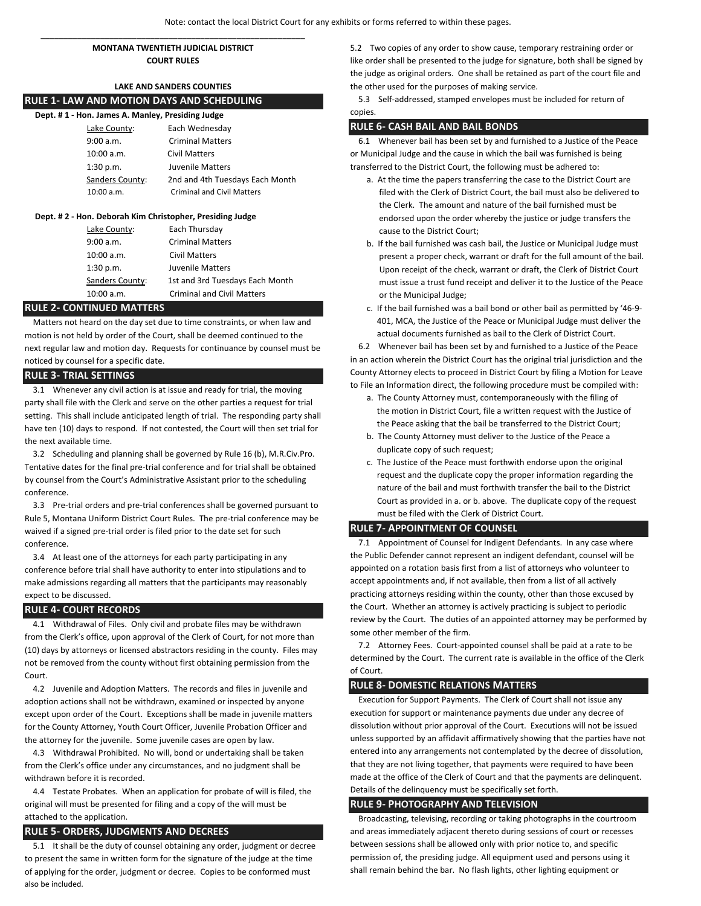### **\_\_\_\_\_\_\_\_\_\_\_\_\_\_\_\_\_\_\_\_\_\_\_\_\_\_\_\_\_\_\_\_\_\_\_\_\_\_\_\_\_\_\_\_\_\_\_\_\_\_\_\_\_\_\_\_\_\_ MONTANA TWENTIETH JUDICIAL DISTRICT COURT RULES**

# **LAKE AND SANDERS COUNTIES**

## **RULE 1- LAW AND MOTION DAYS AND SCHEDULING**

| Dept. #1 - Hon. James A. Manley, Presiding Judge |                                   |
|--------------------------------------------------|-----------------------------------|
| Lake County:                                     | Each Wednesday                    |
| 9:00 a.m.                                        | <b>Criminal Matters</b>           |
| 10:00 a.m.                                       | <b>Civil Matters</b>              |
| 1:30 p.m.                                        | Juvenile Matters                  |
| Sanders County:                                  | 2nd and 4th Tuesdays Each Month   |
| 10:00 a.m.                                       | <b>Criminal and Civil Matters</b> |

#### **Dept. # 2 - Hon. Deborah Kim Christopher, Presiding Judge**

| Lake County:    | Each Thursday                     |
|-----------------|-----------------------------------|
| 9:00 a.m.       | <b>Criminal Matters</b>           |
| 10:00 a.m.      | <b>Civil Matters</b>              |
| 1:30 p.m.       | Juvenile Matters                  |
| Sanders County: | 1st and 3rd Tuesdays Each Month   |
| 10:00 a.m.      | <b>Criminal and Civil Matters</b> |

#### **RULE 2- CONTINUED MATTERS**

 Matters not heard on the day set due to time constraints, or when law and motion is not held by order of the Court, shall be deemed continued to the next regular law and motion day. Requests for continuance by counsel must be noticed by counsel for a specific date.

#### **RULE 3- TRIAL SETTINGS**

 3.1 Whenever any civil action is at issue and ready for trial, the moving party shall file with the Clerk and serve on the other parties a request for trial setting. This shall include anticipated length of trial. The responding party shall have ten (10) days to respond. If not contested, the Court will then set trial for the next available time.

 3.2 Scheduling and planning shall be governed by Rule 16 (b), M.R.Civ.Pro. Tentative dates for the final pre-trial conference and for trial shall be obtained by counsel from the Court's Administrative Assistant prior to the scheduling conference.

 3.3 Pre-trial orders and pre-trial conferences shall be governed pursuant to Rule 5, Montana Uniform District Court Rules. The pre-trial conference may be waived if a signed pre-trial order is filed prior to the date set for such conference.

 3.4 At least one of the attorneys for each party participating in any conference before trial shall have authority to enter into stipulations and to make admissions regarding all matters that the participants may reasonably expect to be discussed.

#### **RULE 4- COURT RECORDS**

 4.1 Withdrawal of Files. Only civil and probate files may be withdrawn from the Clerk's office, upon approval of the Clerk of Court, for not more than (10) days by attorneys or licensed abstractors residing in the county. Files may not be removed from the county without first obtaining permission from the Court.

 4.2 Juvenile and Adoption Matters. The records and files in juvenile and adoption actions shall not be withdrawn, examined or inspected by anyone except upon order of the Court. Exceptions shall be made in juvenile matters for the County Attorney, Youth Court Officer, Juvenile Probation Officer and the attorney for the juvenile. Some juvenile cases are open by law.

 4.3 Withdrawal Prohibited. No will, bond or undertaking shall be taken from the Clerk's office under any circumstances, and no judgment shall be withdrawn before it is recorded.

 4.4 Testate Probates. When an application for probate of will is filed, the original will must be presented for filing and a copy of the will must be attached to the application.

#### **RULE 5- ORDERS, JUDGMENTS AND DECREES**

 5.1 It shall be the duty of counsel obtaining any order, judgment or decree to present the same in written form for the signature of the judge at the time of applying for the order, judgment or decree. Copies to be conformed must also be included.

5.2 Two copies of any order to show cause, temporary restraining order or like order shall be presented to the judge for signature, both shall be signed by the judge as original orders. One shall be retained as part of the court file and the other used for the purposes of making service.

 5.3 Self-addressed, stamped envelopes must be included for return of copies.

#### **RULE 6- CASH BAIL AND BAIL BONDS**

 6.1 Whenever bail has been set by and furnished to a Justice of the Peace or Municipal Judge and the cause in which the bail was furnished is being transferred to the District Court, the following must be adhered to:

- a. At the time the papers transferring the case to the District Court are filed with the Clerk of District Court, the bail must also be delivered to the Clerk. The amount and nature of the bail furnished must be endorsed upon the order whereby the justice or judge transfers the cause to the District Court;
- b. If the bail furnished was cash bail, the Justice or Municipal Judge must present a proper check, warrant or draft for the full amount of the bail. Upon receipt of the check, warrant or draft, the Clerk of District Court must issue a trust fund receipt and deliver it to the Justice of the Peace or the Municipal Judge;
- c. If the bail furnished was a bail bond or other bail as permitted by '46-9- 401, MCA, the Justice of the Peace or Municipal Judge must deliver the actual documents furnished as bail to the Clerk of District Court.

 6.2 Whenever bail has been set by and furnished to a Justice of the Peace in an action wherein the District Court has the original trial jurisdiction and the County Attorney elects to proceed in District Court by filing a Motion for Leave to File an Information direct, the following procedure must be compiled with:

- a. The County Attorney must, contemporaneously with the filing of the motion in District Court, file a written request with the Justice of the Peace asking that the bail be transferred to the District Court;
- b. The County Attorney must deliver to the Justice of the Peace a duplicate copy of such request;
- c. The Justice of the Peace must forthwith endorse upon the original request and the duplicate copy the proper information regarding the nature of the bail and must forthwith transfer the bail to the District Court as provided in a. or b. above. The duplicate copy of the request must be filed with the Clerk of District Court.

#### **RULE 7- APPOINTMENT OF COUNSEL**

 7.1 Appointment of Counsel for Indigent Defendants. In any case where the Public Defender cannot represent an indigent defendant, counsel will be appointed on a rotation basis first from a list of attorneys who volunteer to accept appointments and, if not available, then from a list of all actively practicing attorneys residing within the county, other than those excused by the Court. Whether an attorney is actively practicing is subject to periodic review by the Court. The duties of an appointed attorney may be performed by some other member of the firm.

 7.2 Attorney Fees. Court-appointed counsel shall be paid at a rate to be determined by the Court. The current rate is available in the office of the Clerk of Court.

#### **RULE 8- DOMESTIC RELATIONS MATTERS**

 Execution for Support Payments. The Clerk of Court shall not issue any execution for support or maintenance payments due under any decree of dissolution without prior approval of the Court. Executions will not be issued unless supported by an affidavit affirmatively showing that the parties have not entered into any arrangements not contemplated by the decree of dissolution, that they are not living together, that payments were required to have been made at the office of the Clerk of Court and that the payments are delinquent. Details of the delinquency must be specifically set forth.

#### **RULE 9- PHOTOGRAPHY AND TELEVISION**

 Broadcasting, televising, recording or taking photographs in the courtroom and areas immediately adjacent thereto during sessions of court or recesses between sessions shall be allowed only with prior notice to, and specific permission of, the presiding judge. All equipment used and persons using it shall remain behind the bar. No flash lights, other lighting equipment or